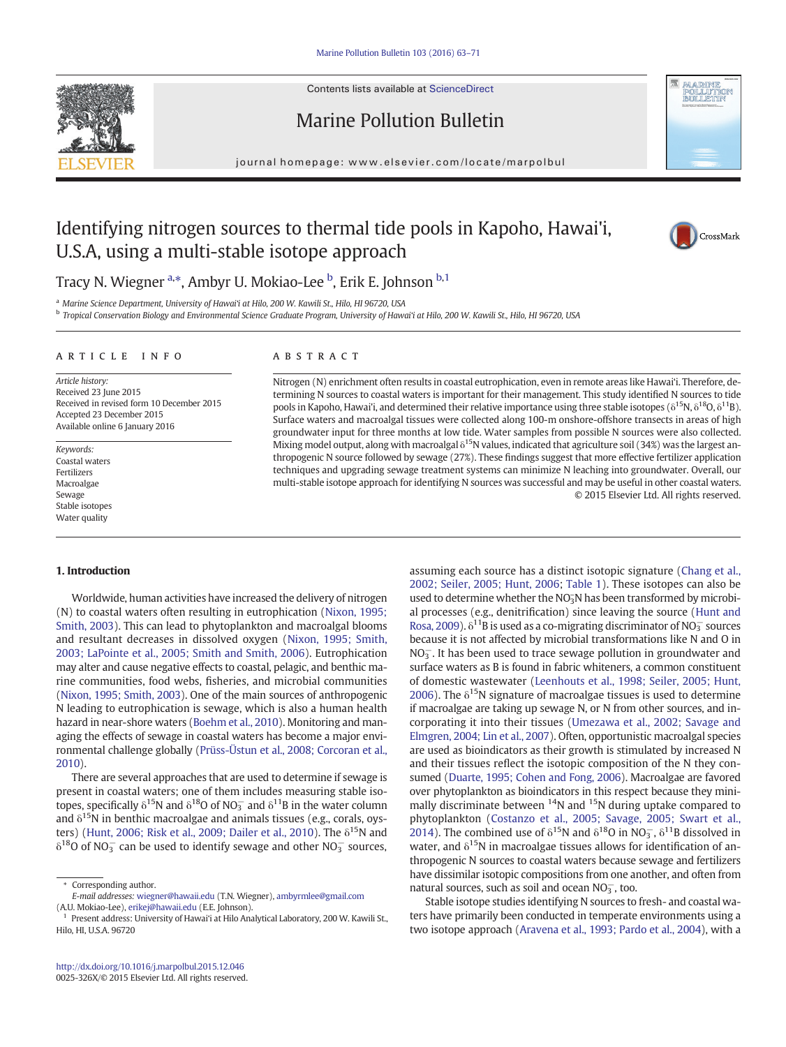Contents lists available at ScienceDirect





journal homepage: www.elsevier.com/locate/marpolbul

# Identifying nitrogen sources to thermal tide pools in Kapoho, Hawai'i, U.S.A, using a multi-stable isotope approach



Tracy N. Wiegner <sup>a,</sup>\*, Ambyr U. Mokiao-Lee <sup>b</sup>, Erik E. Johnson <sup>b,1</sup>

<sup>a</sup> Marine Science Department, University of Hawai'i at Hilo, 200 W. Kawili St., Hilo, HI 96720, USA

<sup>b</sup> Tropical Conservation Biology and Environmental Science Graduate Program, University of Hawai'i at Hilo, 200 W. Kawili St., Hilo, HI 96720, USA

#### article info abstract

Article history: Received 23 June 2015 Received in revised form 10 December 2015 Accepted 23 December 2015 Available online 6 January 2016

Keywords: Coastal waters Fertilizers Macroalgae Sewage Stable isotopes Water quality

Nitrogen (N) enrichment often results in coastal eutrophication, even in remote areas like Hawai'i. Therefore, determining N sources to coastal waters is important for their management. This study identified N sources to tide pools in Kapoho, Hawai'i, and determined their relative importance using three stable isotopes ( $\delta^{15}N$ ,  $\delta^{18}O$ ,  $\delta^{11}B$ ). Surface waters and macroalgal tissues were collected along 100-m onshore-offshore transects in areas of high groundwater input for three months at low tide. Water samples from possible N sources were also collected. Mixing model output, along with macroalgal  $\delta^{15}$ N values, indicated that agriculture soil (34%) was the largest anthropogenic N source followed by sewage (27%). These findings suggest that more effective fertilizer application techniques and upgrading sewage treatment systems can minimize N leaching into groundwater. Overall, our multi-stable isotope approach for identifying N sources was successful and may be useful in other coastal waters. © 2015 Elsevier Ltd. All rights reserved.

#### 1. Introduction

Worldwide, human activities have increased the delivery of nitrogen (N) to coastal waters often resulting in eutrophication ([Nixon, 1995;](#page-8-0) [Smith, 2003](#page-8-0)). This can lead to phytoplankton and macroalgal blooms and resultant decreases in dissolved oxygen ([Nixon, 1995; Smith,](#page-8-0) [2003; LaPointe et al., 2005; Smith and Smith, 2006](#page-8-0)). Eutrophication may alter and cause negative effects to coastal, pelagic, and benthic marine communities, food webs, fisheries, and microbial communities [\(Nixon, 1995; Smith, 2003\)](#page-8-0). One of the main sources of anthropogenic N leading to eutrophication is sewage, which is also a human health hazard in near-shore waters ([Boehm et al., 2010\)](#page-7-0). Monitoring and managing the effects of sewage in coastal waters has become a major environmental challenge globally ([Prüss-Üstun et al., 2008; Corcoran et al.,](#page-8-0) [2010](#page-8-0)).

There are several approaches that are used to determine if sewage is present in coastal waters; one of them includes measuring stable isotopes, specifically  $\delta^{15}$ N and  $\delta^{18}$ O of NO $_3^-$  and  $\delta^{11}$ B in the water column and  $\delta^{15}$ N in benthic macroalgae and animals tissues (e.g., corals, oys-ters) ([Hunt, 2006; Risk et al., 2009; Dailer et al., 2010\)](#page-8-0). The  $\delta^{15}N$  and  $\delta^{18}$ O of NO<sub>3</sub> can be used to identify sewage and other NO<sub>3</sub> sources,

assuming each source has a distinct isotopic signature ([Chang et al.,](#page-7-0) [2002; Seiler, 2005; Hunt, 2006](#page-7-0); [Table 1](#page-1-0)). These isotopes can also be used to determine whether the NO<sub>3</sub>N has been transformed by microbial processes (e.g., denitrification) since leaving the source [\(Hunt and](#page-8-0) [Rosa, 2009](#page-8-0)).  $\delta^{11}$ B is used as a co-migrating discriminator of NO<sub>3</sub> sources because it is not affected by microbial transformations like N and O in  $NO<sub>3</sub><sup>-</sup>$ . It has been used to trace sewage pollution in groundwater and surface waters as B is found in fabric whiteners, a common constituent of domestic wastewater ([Leenhouts et al., 1998; Seiler, 2005; Hunt,](#page-8-0) [2006\)](#page-8-0). The  $\delta^{15}N$  signature of macroalgae tissues is used to determine if macroalgae are taking up sewage N, or N from other sources, and incorporating it into their tissues ([Umezawa et al., 2002; Savage and](#page-8-0) [Elmgren, 2004; Lin et al., 2007](#page-8-0)). Often, opportunistic macroalgal species are used as bioindicators as their growth is stimulated by increased N and their tissues reflect the isotopic composition of the N they consumed [\(Duarte, 1995; Cohen and Fong, 2006\)](#page-7-0). Macroalgae are favored over phytoplankton as bioindicators in this respect because they minimally discriminate between  $14N$  and  $15N$  during uptake compared to phytoplankton [\(Costanzo et al., 2005; Savage, 2005; Swart et al.,](#page-7-0) [2014\)](#page-7-0). The combined use of  $\delta^{15}N$  and  $\delta^{18}O$  in NO<sub>3</sub>,  $\delta^{11}B$  dissolved in water, and  $\delta^{15}N$  in macroalgae tissues allows for identification of anthropogenic N sources to coastal waters because sewage and fertilizers have dissimilar isotopic compositions from one another, and often from natural sources, such as soil and ocean  $NO_3^-$ , too.

Stable isotope studies identifying N sources to fresh- and coastal waters have primarily been conducted in temperate environments using a two isotope approach [\(Aravena et al., 1993; Pardo et al., 2004](#page-7-0)), with a

Corresponding author.

E-mail addresses: wiegner@hawaii.edu (T.N. Wiegner), ambyrmlee@gmail.com (A.U. Mokiao-Lee), [erikej@hawaii.edu](mailto:erikej@hawaii.edu) (E.E. Johnson).

<sup>&</sup>lt;sup>1</sup> Present address: University of Hawai'i at Hilo Analytical Laboratory, 200 W. Kawili St., Hilo, HI, U.S.A. 96720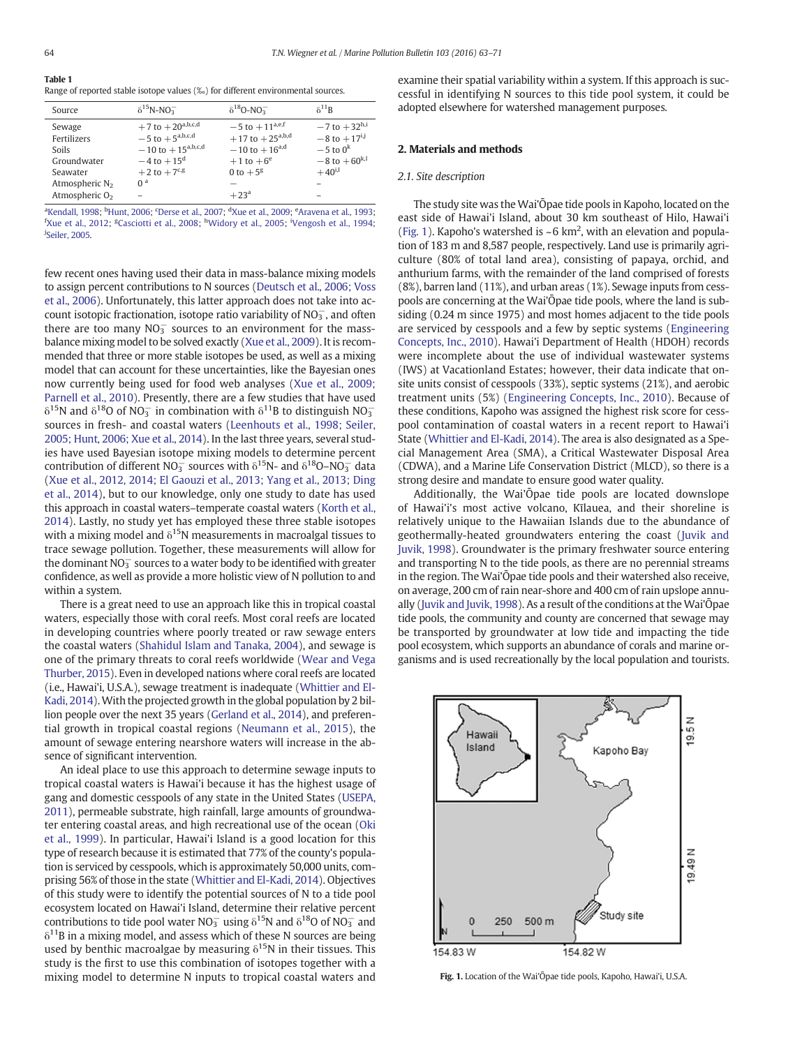#### <span id="page-1-0"></span>Table 1

Range of reported stable isotope values (‰) for different environmental sources.

| Source                                                                                                                | $\delta^{15}$ N-NO <sub>3</sub>                                                                                                                        | $\delta^{18}$ O-NO <sub>3</sub>                                                                                                                  | $\delta^{11}R$                                                                                            |
|-----------------------------------------------------------------------------------------------------------------------|--------------------------------------------------------------------------------------------------------------------------------------------------------|--------------------------------------------------------------------------------------------------------------------------------------------------|-----------------------------------------------------------------------------------------------------------|
| Sewage<br>Fertilizers<br>Soils<br>Groundwater<br>Seawater<br>Atmospheric N <sub>2</sub><br>Atmospheric O <sub>2</sub> | $+7$ to $+20^{a,b,c,d}$<br>$-5$ to $+5^{\text{a,b,c,d}}$<br>$-10$ to $+15^{\text{a,b,c,d}}$<br>$-4$ to $+15^d$<br>$+2$ to $+7^{c,g}$<br>0 <sup>a</sup> | $-5$ to $+11^{\text{a,e,f}}$<br>$+17$ to $+25^{\text{a,b,d}}$<br>$-10$ to $+16^{\text{a,d}}$<br>$+1$ to $+6^e$<br>0 to $+5^{g}$<br>$+23^{\rm a}$ | $-7$ to $+32$ <sup>h,i</sup><br>$-8$ to $+17^{i,j}$<br>$-5$ to $0k$<br>$-8$ to $+60^{k,l}$<br>$+40^{i,1}$ |
|                                                                                                                       |                                                                                                                                                        |                                                                                                                                                  |                                                                                                           |

<sup>a</sup>[Kendall, 1998](#page-8-0); <sup>b</sup>[Hunt, 2006;](#page-8-0) <sup>c</sup>[Derse et al., 2007](#page-7-0); <sup>d</sup>[Xue et al., 2009;](#page-8-0) <sup>e</sup>[Aravena et al., 1993;](#page-7-0) <sup>f</sup>[Xue et al., 2012](#page-8-0); <sup>g</sup>[Casciotti et al., 2008](#page-7-0); <sup>h</sup>[Widory et al., 2005;](#page-8-0) <sup>i</sup>[Vengosh et al., 1994;](#page-8-0) <sup>j</sup>[Seiler, 2005](#page-8-0).

few recent ones having used their data in mass-balance mixing models to assign percent contributions to N sources ([Deutsch et al., 2006; Voss](#page-7-0) [et al., 2006\)](#page-7-0). Unfortunately, this latter approach does not take into account isotopic fractionation, isotope ratio variability of  $NO_3^-$ , and often there are too many  $NO_3^-$  sources to an environment for the massbalance mixing model to be solved exactly [\(Xue et al., 2009\)](#page-8-0). It is recommended that three or more stable isotopes be used, as well as a mixing model that can account for these uncertainties, like the Bayesian ones now currently being used for food web analyses ([Xue et al., 2009;](#page-8-0) [Parnell et al., 2010\)](#page-8-0). Presently, there are a few studies that have used  $\delta^{15}$ N and  $\delta^{18}$ O of NO<sub>3</sub> in combination with  $\delta^{11}$ B to distinguish NO<sub>3</sub> sources in fresh- and coastal waters ([Leenhouts et al., 1998; Seiler,](#page-8-0) [2005; Hunt, 2006; Xue et al., 2014](#page-8-0)). In the last three years, several studies have used Bayesian isotope mixing models to determine percent contribution of different  $NO_3^-$  sources with  $\delta^{15}N$ - and  $\delta^{18}O$ – $NO_3^-$  data [\(Xue et al., 2012, 2014; El Gaouzi et al., 2013; Yang et al., 2013; Ding](#page-8-0) [et al., 2014](#page-8-0)), but to our knowledge, only one study to date has used this approach in coastal waters–temperate coastal waters ([Korth et al.,](#page-8-0) [2014](#page-8-0)). Lastly, no study yet has employed these three stable isotopes with a mixing model and  $\delta^{15}$ N measurements in macroalgal tissues to trace sewage pollution. Together, these measurements will allow for the dominant  $NO_3^-$  sources to a water body to be identified with greater confidence, as well as provide a more holistic view of N pollution to and within a system.

There is a great need to use an approach like this in tropical coastal waters, especially those with coral reefs. Most coral reefs are located in developing countries where poorly treated or raw sewage enters the coastal waters ([Shahidul Islam and Tanaka, 2004](#page-8-0)), and sewage is one of the primary threats to coral reefs worldwide ([Wear and Vega](#page-8-0) [Thurber, 2015](#page-8-0)). Even in developed nations where coral reefs are located (i.e., Hawai'i, U.S.A.), sewage treatment is inadequate [\(Whittier and El-](#page-8-0)[Kadi, 2014\)](#page-8-0).With the projected growth in the global population by 2 billion people over the next 35 years [\(Gerland et al., 2014\)](#page-8-0), and preferential growth in tropical coastal regions ([Neumann et al., 2015](#page-8-0)), the amount of sewage entering nearshore waters will increase in the absence of significant intervention.

An ideal place to use this approach to determine sewage inputs to tropical coastal waters is Hawai'i because it has the highest usage of gang and domestic cesspools of any state in the United States [\(USEPA,](#page-8-0) [2011\)](#page-8-0), permeable substrate, high rainfall, large amounts of groundwater entering coastal areas, and high recreational use of the ocean [\(Oki](#page-8-0) [et al., 1999](#page-8-0)). In particular, Hawai'i Island is a good location for this type of research because it is estimated that 77% of the county's population is serviced by cesspools, which is approximately 50,000 units, comprising 56% of those in the state [\(Whittier and El-Kadi, 2014](#page-8-0)). Objectives of this study were to identify the potential sources of N to a tide pool ecosystem located on Hawai'i Island, determine their relative percent contributions to tide pool water NO<sub>3</sub> using  $\delta^{15}$ N and  $\delta^{18}$ O of NO<sub>3</sub> and  $\delta^{11}$ B in a mixing model, and assess which of these N sources are being used by benthic macroalgae by measuring  $\delta^{15}$ N in their tissues. This study is the first to use this combination of isotopes together with a mixing model to determine N inputs to tropical coastal waters and

examine their spatial variability within a system. If this approach is successful in identifying N sources to this tide pool system, it could be adopted elsewhere for watershed management purposes.

# 2. Materials and methods

### 2.1. Site description

The study site was the Wai'Ōpae tide pools in Kapoho, located on the east side of Hawai'i Island, about 30 km southeast of Hilo, Hawai'i (Fig. 1). Kapoho's watershed is ~6  $km^2$ , with an elevation and population of 183 m and 8,587 people, respectively. Land use is primarily agriculture (80% of total land area), consisting of papaya, orchid, and anthurium farms, with the remainder of the land comprised of forests (8%), barren land (11%), and urban areas (1%). Sewage inputs from cesspools are concerning at the Wai'Ōpae tide pools, where the land is subsiding (0.24 m since 1975) and most homes adjacent to the tide pools are serviced by cesspools and a few by septic systems ([Engineering](#page-7-0) [Concepts, Inc., 2010](#page-7-0)). Hawai'i Department of Health (HDOH) records were incomplete about the use of individual wastewater systems (IWS) at Vacationland Estates; however, their data indicate that onsite units consist of cesspools (33%), septic systems (21%), and aerobic treatment units (5%) [\(Engineering Concepts, Inc., 2010\)](#page-7-0). Because of these conditions, Kapoho was assigned the highest risk score for cesspool contamination of coastal waters in a recent report to Hawai'i State ([Whittier and El-Kadi, 2014\)](#page-8-0). The area is also designated as a Special Management Area (SMA), a Critical Wastewater Disposal Area (CDWA), and a Marine Life Conservation District (MLCD), so there is a strong desire and mandate to ensure good water quality.

Additionally, the Wai'Ōpae tide pools are located downslope of Hawai'i's most active volcano, Kīlauea, and their shoreline is relatively unique to the Hawaiian Islands due to the abundance of geothermally-heated groundwaters entering the coast ([Juvik and](#page-8-0) [Juvik, 1998](#page-8-0)). Groundwater is the primary freshwater source entering and transporting N to the tide pools, as there are no perennial streams in the region. The Wai'Ōpae tide pools and their watershed also receive, on average, 200 cm of rain near-shore and 400 cm of rain upslope annually [\(Juvik and Juvik, 1998](#page-8-0)). As a result of the conditions at the Wai'Ōpae tide pools, the community and county are concerned that sewage may be transported by groundwater at low tide and impacting the tide pool ecosystem, which supports an abundance of corals and marine organisms and is used recreationally by the local population and tourists.



Fig. 1. Location of the Wai'Ōpae tide pools, Kapoho, Hawai'i, U.S.A.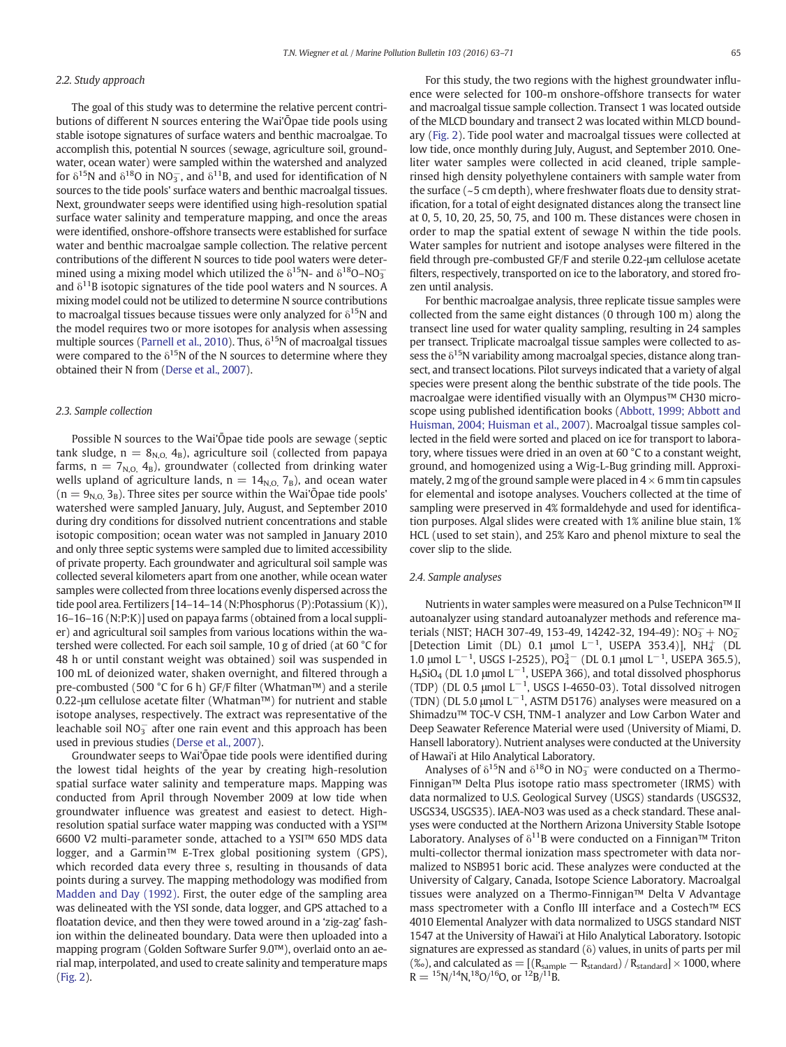# 2.2. Study approach

The goal of this study was to determine the relative percent contributions of different N sources entering the Wai'Ōpae tide pools using stable isotope signatures of surface waters and benthic macroalgae. To accomplish this, potential N sources (sewage, agriculture soil, groundwater, ocean water) were sampled within the watershed and analyzed for  $\delta^{15}$ N and  $\delta^{18}$ O in NO<sub>3</sub>, and  $\delta^{11}$ B, and used for identification of N sources to the tide pools' surface waters and benthic macroalgal tissues. Next, groundwater seeps were identified using high-resolution spatial surface water salinity and temperature mapping, and once the areas were identified, onshore-offshore transects were established for surface water and benthic macroalgae sample collection. The relative percent contributions of the different N sources to tide pool waters were determined using a mixing model which utilized the  $\delta^{15}$ N- and  $\delta^{18}$ O–NO<sub>3</sub> and  $\delta^{11}$ B isotopic signatures of the tide pool waters and N sources. A mixing model could not be utilized to determine N source contributions to macroalgal tissues because tissues were only analyzed for  $\delta^{15}N$  and the model requires two or more isotopes for analysis when assessing multiple sources [\(Parnell et al., 2010\)](#page-8-0). Thus,  $\delta^{15}N$  of macroalgal tissues were compared to the  $\delta^{15}N$  of the N sources to determine where they obtained their N from [\(Derse et al., 2007](#page-7-0)).

# 2.3. Sample collection

Possible N sources to the Wai'Ōpae tide pools are sewage (septic tank sludge,  $n = 8<sub>N,O</sub>$ ,  $4<sub>B</sub>$ ), agriculture soil (collected from papaya farms,  $n = 7<sub>N,O</sub>$ ,  $4<sub>B</sub>$ ), groundwater (collected from drinking water wells upland of agriculture lands,  $n = 14<sub>N,O</sub>$ ,  $7<sub>B</sub>$ ), and ocean water  $(n = 9<sub>N,O</sub>, 3<sub>B</sub>)$ . Three sites per source within the Wai'Ōpae tide pools' watershed were sampled January, July, August, and September 2010 during dry conditions for dissolved nutrient concentrations and stable isotopic composition; ocean water was not sampled in January 2010 and only three septic systems were sampled due to limited accessibility of private property. Each groundwater and agricultural soil sample was collected several kilometers apart from one another, while ocean water samples were collected from three locations evenly dispersed across the tide pool area. Fertilizers [14–14–14 (N:Phosphorus (P):Potassium (K)), 16–16–16 (N:P:K)] used on papaya farms (obtained from a local supplier) and agricultural soil samples from various locations within the watershed were collected. For each soil sample, 10 g of dried (at 60 °C for 48 h or until constant weight was obtained) soil was suspended in 100 mL of deionized water, shaken overnight, and filtered through a pre-combusted (500 °C for 6 h) GF/F filter (Whatman™) and a sterile 0.22-μm cellulose acetate filter (Whatman™) for nutrient and stable isotope analyses, respectively. The extract was representative of the leachable soil  $NO_3^-$  after one rain event and this approach has been used in previous studies ([Derse et al., 2007\)](#page-7-0).

Groundwater seeps to Wai'Ōpae tide pools were identified during the lowest tidal heights of the year by creating high-resolution spatial surface water salinity and temperature maps. Mapping was conducted from April through November 2009 at low tide when groundwater influence was greatest and easiest to detect. Highresolution spatial surface water mapping was conducted with a YSI™ 6600 V2 multi-parameter sonde, attached to a YSI™ 650 MDS data logger, and a Garmin™ E-Trex global positioning system (GPS), which recorded data every three s, resulting in thousands of data points during a survey. The mapping methodology was modified from [Madden and Day \(1992\)](#page-8-0). First, the outer edge of the sampling area was delineated with the YSI sonde, data logger, and GPS attached to a floatation device, and then they were towed around in a 'zig-zag' fashion within the delineated boundary. Data were then uploaded into a mapping program (Golden Software Surfer 9.0™), overlaid onto an aerial map, interpolated, and used to create salinity and temperature maps [\(Fig. 2\)](#page-3-0).

For this study, the two regions with the highest groundwater influence were selected for 100-m onshore-offshore transects for water and macroalgal tissue sample collection. Transect 1 was located outside of the MLCD boundary and transect 2 was located within MLCD boundary ([Fig. 2](#page-3-0)). Tide pool water and macroalgal tissues were collected at low tide, once monthly during July, August, and September 2010. Oneliter water samples were collected in acid cleaned, triple samplerinsed high density polyethylene containers with sample water from the surface (~5 cm depth), where freshwater floats due to density stratification, for a total of eight designated distances along the transect line at 0, 5, 10, 20, 25, 50, 75, and 100 m. These distances were chosen in order to map the spatial extent of sewage N within the tide pools. Water samples for nutrient and isotope analyses were filtered in the field through pre-combusted GF/F and sterile 0.22-μm cellulose acetate filters, respectively, transported on ice to the laboratory, and stored frozen until analysis.

For benthic macroalgae analysis, three replicate tissue samples were collected from the same eight distances (0 through 100 m) along the transect line used for water quality sampling, resulting in 24 samples per transect. Triplicate macroalgal tissue samples were collected to assess the  $\delta^{15}N$  variability among macroalgal species, distance along transect, and transect locations. Pilot surveys indicated that a variety of algal species were present along the benthic substrate of the tide pools. The macroalgae were identified visually with an Olympus™ CH30 microscope using published identification books ([Abbott, 1999; Abbott and](#page-7-0) [Huisman, 2004; Huisman et al., 2007\)](#page-7-0). Macroalgal tissue samples collected in the field were sorted and placed on ice for transport to laboratory, where tissues were dried in an oven at 60 °C to a constant weight, ground, and homogenized using a Wig-L-Bug grinding mill. Approximately, 2 mg of the ground sample were placed in  $4 \times 6$  mm tin capsules for elemental and isotope analyses. Vouchers collected at the time of sampling were preserved in 4% formaldehyde and used for identification purposes. Algal slides were created with 1% aniline blue stain, 1% HCL (used to set stain), and 25% Karo and phenol mixture to seal the cover slip to the slide.

# 2.4. Sample analyses

Nutrients in water samples were measured on a Pulse Technicon™ II autoanalyzer using standard autoanalyzer methods and reference materials (NIST; HACH 307-49, 153-49, 14242-32, 194-49):  $NO<sub>3</sub><sup>-</sup> + NO<sub>2</sub><sup>-</sup>$ [Detection Limit (DL) 0.1 µmol  $L^{-1}$ , USEPA 353.4)], NH $_{4}^{+}$  (DL 1.0 μmol L<sup>-1</sup>, USGS I-2525), PO<sub>4</sub><sup>2</sup> (DL 0.1 μmol L<sup>-1</sup>, USEPA 365.5), H<sub>4</sub>SiO<sub>4</sub> (DL 1.0 µmol L<sup>-1</sup>, USEPA 366), and total dissolved phosphorus (TDP) (DL 0.5 µmol  $L^{-1}$ , USGS I-4650-03). Total dissolved nitrogen (TDN) (DL 5.0 μmol L−<sup>1</sup> , ASTM D5176) analyses were measured on a Shimadzu™ TOC-V CSH, TNM-1 analyzer and Low Carbon Water and Deep Seawater Reference Material were used (University of Miami, D. Hansell laboratory). Nutrient analyses were conducted at the University of Hawai'i at Hilo Analytical Laboratory.

Analyses of  $\delta^{15}N$  and  $\delta^{18}O$  in NO<sub>3</sub> were conducted on a Thermo-Finnigan™ Delta Plus isotope ratio mass spectrometer (IRMS) with data normalized to U.S. Geological Survey (USGS) standards (USGS32, USGS34, USGS35). IAEA-NO3 was used as a check standard. These analyses were conducted at the Northern Arizona University Stable Isotope Laboratory. Analyses of  $\delta^{11}$ B were conducted on a Finnigan<sup>™</sup> Triton multi-collector thermal ionization mass spectrometer with data normalized to NSB951 boric acid. These analyzes were conducted at the University of Calgary, Canada, Isotope Science Laboratory. Macroalgal tissues were analyzed on a Thermo-Finnigan™ Delta V Advantage mass spectrometer with a Conflo III interface and a Costech™ ECS 4010 Elemental Analyzer with data normalized to USGS standard NIST 1547 at the University of Hawai'i at Hilo Analytical Laboratory. Isotopic signatures are expressed as standard (δ) values, in units of parts per mil (‰), and calculated as  $=$  [( $R_{sample} - R_{standard}$ ) /  $R_{standard}$   $\times$  1000, where  $R = {}^{15}N/{}^{14}N, {}^{18}O/{}^{16}O,$  or  ${}^{12}B/{}^{11}B$ .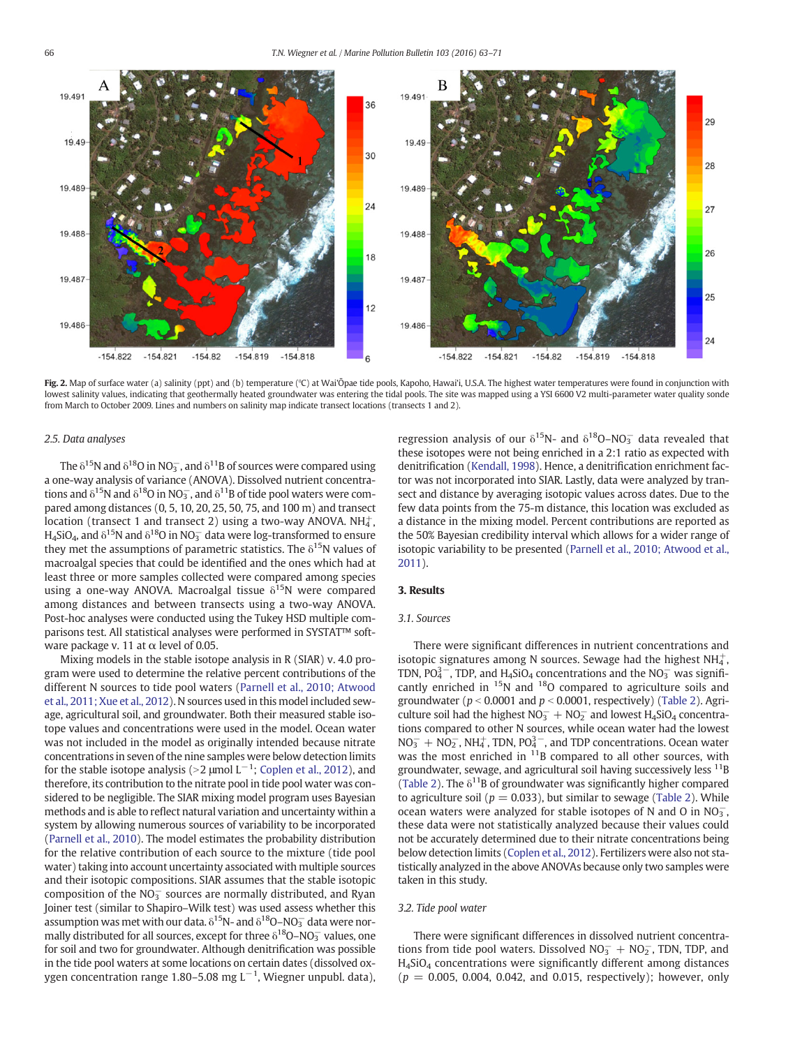<span id="page-3-0"></span>

Fig. 2. Map of surface water (a) salinity (ppt) and (b) temperature (℃) at Wai'Ōpae tide pools, Kapoho, Hawai'i, U.S.A. The highest water temperatures were found in conjunction with lowest salinity values, indicating that geothermally heated groundwater was entering the tidal pools. The site was mapped using a YSI 6600 V2 multi-parameter water quality sonde from March to October 2009. Lines and numbers on salinity map indicate transect locations (transects 1 and 2).

# 2.5. Data analyses

The  $\delta^{15}$ N and  $\delta^{18}$ O in NO<sub>3</sub> , and  $\delta^{11}$ B of sources were compared using a one-way analysis of variance (ANOVA). Dissolved nutrient concentrations and  $\delta^{15}$ N and  $\delta^{18}$ O in NO<sub>3</sub>, and  $\delta^{11}$ B of tide pool waters were compared among distances (0, 5, 10, 20, 25, 50, 75, and 100 m) and transect location (transect 1 and transect 2) using a two-way ANOVA. NH $^{+}_{4}$ , H<sub>4</sub>SiO<sub>4</sub>, and  $\delta^{15}$ N and  $\delta^{18}$ O in NO<sub>3</sub> data were log-transformed to ensure they met the assumptions of parametric statistics. The  $\delta^{15}N$  values of macroalgal species that could be identified and the ones which had at least three or more samples collected were compared among species using a one-way ANOVA. Macroalgal tissue  $\delta^{15}$ N were compared among distances and between transects using a two-way ANOVA. Post-hoc analyses were conducted using the Tukey HSD multiple comparisons test. All statistical analyses were performed in SYSTAT™ software package v. 11 at  $\alpha$  level of 0.05.

Mixing models in the stable isotope analysis in R (SIAR) v. 4.0 program were used to determine the relative percent contributions of the different N sources to tide pool waters [\(Parnell et al., 2010; Atwood](#page-8-0) [et al., 2011; Xue et al., 2012](#page-8-0)). N sources used in this model included sewage, agricultural soil, and groundwater. Both their measured stable isotope values and concentrations were used in the model. Ocean water was not included in the model as originally intended because nitrate concentrations in seven of the nine samples were below detection limits for the stable isotope analysis (>2 µmol  $L^{-1}$ ; [Coplen et al., 2012\)](#page-7-0), and therefore, its contribution to the nitrate pool in tide pool water was considered to be negligible. The SIAR mixing model program uses Bayesian methods and is able to reflect natural variation and uncertainty within a system by allowing numerous sources of variability to be incorporated [\(Parnell et al., 2010](#page-8-0)). The model estimates the probability distribution for the relative contribution of each source to the mixture (tide pool water) taking into account uncertainty associated with multiple sources and their isotopic compositions. SIAR assumes that the stable isotopic composition of the  $NO_3^-$  sources are normally distributed, and Ryan Joiner test (similar to Shapiro–Wilk test) was used assess whether this assumption was met with our data.  $\delta^{15}$ N- and  $\delta^{18}$ O–NO $_3^-$  data were normally distributed for all sources, except for three  $\delta^{18}$ O–NO $_3^-$  values, one for soil and two for groundwater. Although denitrification was possible in the tide pool waters at some locations on certain dates (dissolved oxygen concentration range 1.80–5.08 mg L<sup>−1</sup>, Wiegner unpubl. data),

regression analysis of our  $\delta^{15}N$ - and  $\delta^{18}O-NO_3^-$  data revealed that these isotopes were not being enriched in a 2:1 ratio as expected with denitrification [\(Kendall, 1998\)](#page-8-0). Hence, a denitrification enrichment factor was not incorporated into SIAR. Lastly, data were analyzed by transect and distance by averaging isotopic values across dates. Due to the few data points from the 75-m distance, this location was excluded as a distance in the mixing model. Percent contributions are reported as the 50% Bayesian credibility interval which allows for a wider range of isotopic variability to be presented [\(Parnell et al., 2010; Atwood et al.,](#page-8-0) [2011\)](#page-8-0).

### 3. Results

#### 3.1. Sources

There were significant differences in nutrient concentrations and isotopic signatures among N sources. Sewage had the highest NH $_4^+$ , TDN,  $PO_4^{3-}$ , TDP, and H<sub>4</sub>SiO<sub>4</sub> concentrations and the NO<sub>3</sub> was significantly enriched in  $15N$  and  $18O$  compared to agriculture soils and groundwater ( $p < 0.0001$  and  $p < 0.0001$ , respectively) ([Table 2](#page-4-0)). Agriculture soil had the highest  $NO<sub>3</sub><sup>-</sup> + NO<sub>2</sub><sup>-</sup>$  and lowest  $H<sub>4</sub>SiO<sub>4</sub>$  concentrations compared to other N sources, while ocean water had the lowest  $NO<sub>3</sub><sup>-</sup> + NO<sub>2</sub><sup>-</sup>, NH<sub>4</sub><sup>+</sup>, TDN, PO<sub>4</sub><sup>3-</sup>, and TDP concentrations. Ocean water$ was the most enriched in  $11B$  compared to all other sources, with groundwater, sewage, and agricultural soil having successively less  $^{11}$ B [\(Table 2](#page-4-0)). The  $\delta^{11}B$  of groundwater was significantly higher compared to agriculture soil ( $p = 0.033$ ), but similar to sewage ([Table 2\)](#page-4-0). While ocean waters were analyzed for stable isotopes of N and O in  $NO_3^-$ , these data were not statistically analyzed because their values could not be accurately determined due to their nitrate concentrations being below detection limits ([Coplen et al., 2012](#page-7-0)). Fertilizers were also not statistically analyzed in the above ANOVAs because only two samples were taken in this study.

# 3.2. Tide pool water

There were significant differences in dissolved nutrient concentrations from tide pool waters. Dissolved  $NO<sub>3</sub><sup>-</sup> + NO<sub>2</sub><sup>-</sup>$ , TDN, TDP, and H4SiO4 concentrations were significantly different among distances  $(p = 0.005, 0.004, 0.042,$  and 0.015, respectively); however, only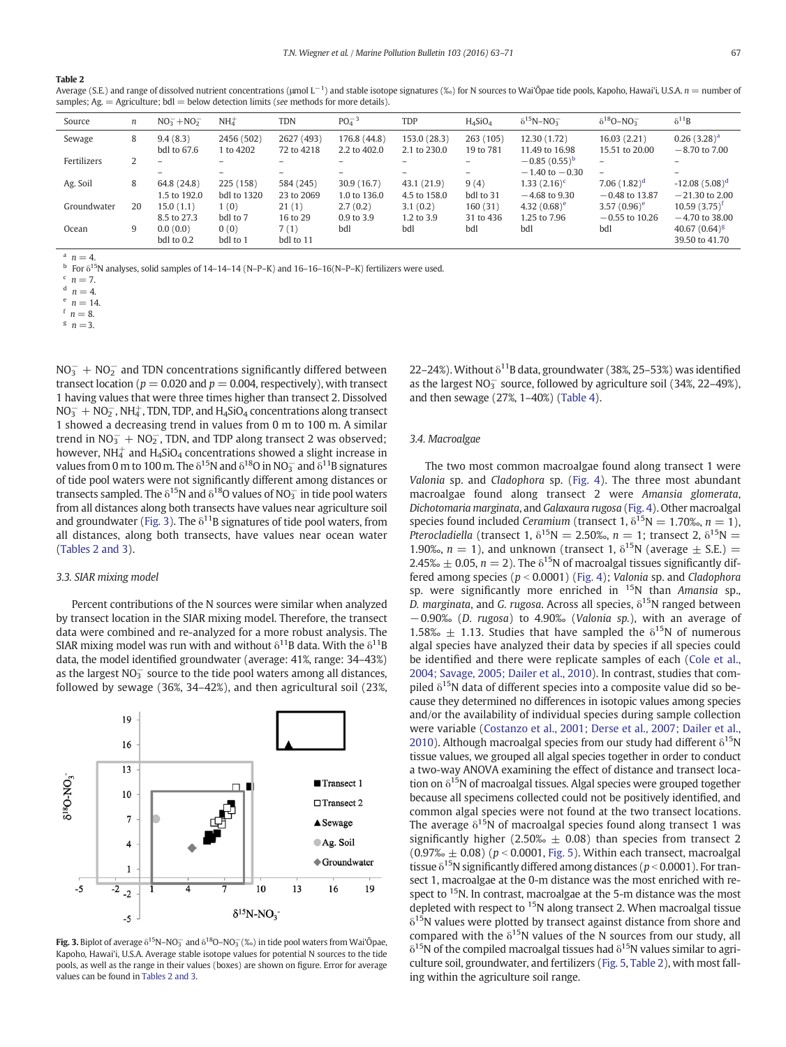#### <span id="page-4-0"></span>Table 2

| Average (S.E.) and range of dissolved nutrient concentrations (µmol L <sup>-1</sup> ) and stable isotope signatures (‰) for N sources to Wai'Ōpae tide pools, Kapoho, Hawai'i, U.S.A. n = number of |
|-----------------------------------------------------------------------------------------------------------------------------------------------------------------------------------------------------|
| samples; Ag. $=$ Agriculture; bdl $=$ below detection limits (see methods for more details).                                                                                                        |

| Source      | n  | $NO_3^- + NO_2^-$                                    | NH <sub>4</sub>         | TDN                      | $PO4-3$                      | <b>TDP</b>                   | $H_4SiO_4$             | $\delta^{15}$ N-NO <sub>3</sub>         | $\delta^{18}$ O-NO <sub>3</sub>                      | $\delta^{11}B$                       |
|-------------|----|------------------------------------------------------|-------------------------|--------------------------|------------------------------|------------------------------|------------------------|-----------------------------------------|------------------------------------------------------|--------------------------------------|
| Sewage      | 8  | 9.4(8.3)<br>bdl to $67.6$                            | 2456 (502)<br>1 to 4202 | 2627 (493)<br>72 to 4218 | 176.8 (44.8)<br>2.2 to 402.0 | 153.0 (28.3)<br>2.1 to 230.0 | 263 (105)<br>19 to 781 | 12.30(1.72)<br>11.49 to 16.98           | 16.03(2.21)<br>15.51 to 20.00                        | $0.26(3.28)^a$<br>$-8.70$ to $7.00$  |
| Fertilizers | 2  | $\overline{\phantom{a}}$<br>$\overline{\phantom{a}}$ |                         |                          |                              |                              |                        | $-0.85(0.55)^{b}$<br>$-1.40$ to $-0.30$ | $\overline{\phantom{0}}$<br>$\overline{\phantom{a}}$ |                                      |
| Ag. Soil    | 8  | 64.8 (24.8)<br>1.5 to 192.0                          | 225(158)<br>bdl to 1320 | 584 (245)<br>23 to 2069  | 30.9(16.7)<br>1.0 to 136.0   | 43.1 (21.9)<br>4.5 to 158.0  | 9(4)<br>bdl to 31      | 1.33 $(2.16)^c$<br>$-4.68$ to 9.30      | $7.06(1.82)^d$<br>$-0.48$ to 13.87                   | $-12.08(5.08)^d$<br>$-21.30$ to 2.00 |
| Groundwater | 20 | 15.0(1.1)<br>8.5 to 27.3                             | 1(0)<br>bdl to 7        | 21(1)<br>16 to 29        | 2.7(0.2)<br>0.9 to 3.9       | 3.1(0.2)<br>1.2 to 3.9       | 160(31)<br>31 to 436   | 4.32 $(0.68)^e$<br>1.25 to 7.96         | 3.57 $(0.96)^e$<br>$-0.55$ to 10.26                  | $10.59(3.75)^t$<br>$-4.70$ to 38.00  |
| Ocean       | 9  | 0.0(0.0)<br>bdl to 0.2                               | 0(0)<br>bdl to 1        | 7(1)<br>bdl to 11        | bdl                          | bdl                          | bdl                    | bdl                                     | bdl                                                  | 40.67 $(0.64)^g$<br>39.50 to 41.70   |
|             |    |                                                      |                         |                          |                              |                              |                        |                                         |                                                      |                                      |

 $n = 4$ 

 $h = h$  For  $\delta^{15}N$  analyses, solid samples of 14–14–14 (N–P–K) and 16–16–16(N–P–K) fertilizers were used.

 $n = 4$ .

```
n = 14.
```
 $f n = 8$ .

 $n = 3$ .

 $NO<sub>3</sub><sup>-</sup> + NO<sub>2</sub><sup>-</sup>$  and TDN concentrations significantly differed between transect location ( $p = 0.020$  and  $p = 0.004$ , respectively), with transect 1 having values that were three times higher than transect 2. Dissolved  $NO_3^- + NO_2^-$ , NH $_4^+$ , TDN, TDP, and H<sub>4</sub>SiO<sub>4</sub> concentrations along transect 1 showed a decreasing trend in values from 0 m to 100 m. A similar trend in  $NO_3^- + NO_2^-$ , TDN, and TDP along transect 2 was observed; however, NH $_4^+$  and H<sub>4</sub>SiO<sub>4</sub> concentrations showed a slight increase in values from 0 m to 100 m. The  $\delta^{15}$ N and  $\delta^{18}$ O in NO $_3^-$  and  $\delta^{11}$ B signatures of tide pool waters were not significantly different among distances or transects sampled. The  $\delta^{15}$ N and  $\delta^{18}$ O values of NO $_3^-$  in tide pool waters from all distances along both transects have values near agriculture soil and groundwater (Fig. 3). The  $\delta^{11}$ B signatures of tide pool waters, from all distances, along both transects, have values near ocean water (Tables 2 and 3).

# 3.3. SIAR mixing model

Percent contributions of the N sources were similar when analyzed by transect location in the SIAR mixing model. Therefore, the transect data were combined and re-analyzed for a more robust analysis. The SIAR mixing model was run with and without  $\delta^{11}B$  data. With the  $\delta^{11}B$ data, the model identified groundwater (average: 41%, range: 34–43%) as the largest  $NO_3^-$  source to the tide pool waters among all distances, followed by sewage (36%, 34–42%), and then agricultural soil (23%,



**Fig. 3.** Biplot of average  $\delta^{15}$ N–NO $_3^-$  and  $\delta^{18}$ O–NO $_3^-$ (‰) in tide pool waters from Wai'Ōpae, Kapoho, Hawai'i, U.S.A. Average stable isotope values for potential N sources to the tide pools, as well as the range in their values (boxes) are shown on figure. Error for average values can be found in Tables 2 and 3.

22–24%). Without  $\delta^{11}$ B data, groundwater (38%, 25–53%) was identified as the largest  $NO_3^-$  source, followed by agriculture soil (34%, 22-49%), and then sewage (27%, 1–40%) [\(Table 4\)](#page-5-0).

### 3.4. Macroalgae

The two most common macroalgae found along transect 1 were Valonia sp. and Cladophora sp. [\(Fig. 4](#page-5-0)). The three most abundant macroalgae found along transect 2 were Amansia glomerata, Dichotomaria marginata, and Galaxaura rugosa [\(Fig. 4](#page-5-0)). Other macroalgal species found included Ceramium (transect 1,  $\delta^{15}N = 1.70\%$ ,  $n = 1$ ), Pterocladiella (transect 1,  $\delta^{15}N = 2.50\%$ ,  $n = 1$ ; transect 2,  $\delta^{15}N =$ 1.90‰,  $n = 1$ ), and unknown (transect 1,  $\delta^{15}N$  (average  $\pm$  S.E.) = 2.45‰  $\pm$  0.05, n = 2). The  $\delta^{15}N$  of macroalgal tissues significantly differed among species ( $p < 0.0001$ ) [\(Fig. 4\)](#page-5-0); Valonia sp. and Cladophora sp. were significantly more enriched in  $15N$  than Amansia sp., D. marginata, and G. rugosa. Across all species,  $\delta^{15}$ N ranged between −0.90‰ (D. rugosa) to 4.90‰ (Valonia sp.), with an average of 1.58‰  $\pm$  1.13. Studies that have sampled the  $\delta^{15}N$  of numerous algal species have analyzed their data by species if all species could be identified and there were replicate samples of each [\(Cole et al.,](#page-7-0) [2004; Savage, 2005; Dailer et al., 2010](#page-7-0)). In contrast, studies that compiled  $\delta^{15}$ N data of different species into a composite value did so because they determined no differences in isotopic values among species and/or the availability of individual species during sample collection were variable ([Costanzo et al., 2001; Derse et al., 2007; Dailer et al.,](#page-7-0) [2010](#page-7-0)). Although macroalgal species from our study had different  $\delta^{15}N$ tissue values, we grouped all algal species together in order to conduct a two-way ANOVA examining the effect of distance and transect location on  $\delta^{15}$ N of macroalgal tissues. Algal species were grouped together because all specimens collected could not be positively identified, and common algal species were not found at the two transect locations. The average  $\delta^{15}N$  of macroalgal species found along transect 1 was significantly higher (2.50‰  $\pm$  0.08) than species from transect 2  $(0.97\% \pm 0.08)$  ( $p < 0.0001$ , [Fig. 5\)](#page-6-0). Within each transect, macroalgal tissue  $\delta^{15}$ N significantly differed among distances ( $p < 0.0001$ ). For transect 1, macroalgae at the 0-m distance was the most enriched with respect to <sup>15</sup>N. In contrast, macroalgae at the 5-m distance was the most depleted with respect to  $15N$  along transect 2. When macroalgal tissue  $\delta^{15}$ N values were plotted by transect against distance from shore and compared with the  $\delta^{15}N$  values of the N sources from our study, all  $\delta^{15}$ N of the compiled macroalgal tissues had  $\delta^{15}$ N values similar to agriculture soil, groundwater, and fertilizers [\(Fig. 5](#page-6-0), Table 2), with most falling within the agriculture soil range.

 $n = 7.$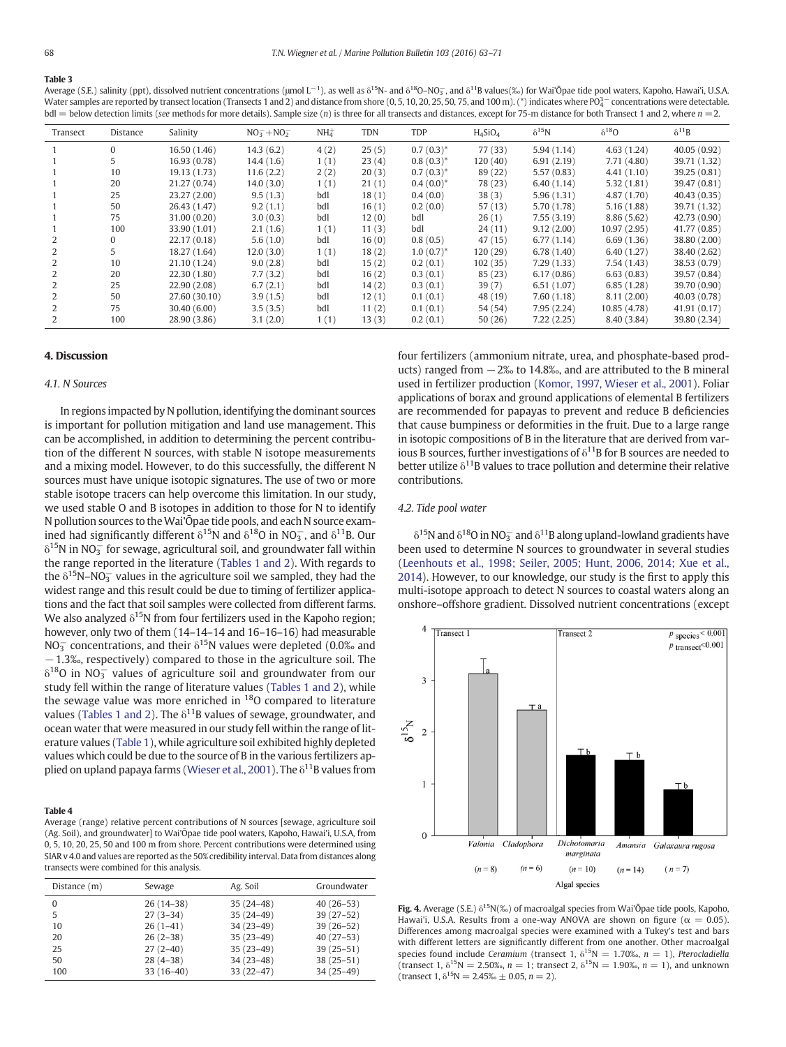# <span id="page-5-0"></span>Table 3

Average (S.E.) salinity (ppt), dissolved nutrient concentrations (µmol L $^{-1}$ ), as well as  $\delta^{15}$ N- and  $\delta^{18}$ O–NO $_2^-$ , and  $\delta^{11}$ B values(‰) for Wai'Õpae tide pool waters, Kapoho, Hawai'i, U.S.A. Water samples are reported by transect location (Transects 1 and 2) and distance from shore  $(0,5,10,20,25,50,75,$  and  $100$  m). (\*) indicates where  $PO<sub>4</sub><sup>3</sup>$  concentrations were detectable.  $bdl =$  below detection limits (see methods for more details). Sample size (n) is three for all transects and distances, except for 75-m distance for both Transect 1 and 2, where  $n = 2$ .

| Transect | Distance | Salinity      | $NO_3^- + NO_2^-$ | NH <sub>4</sub> | <b>TDN</b> | TDP          | $H_4SiO_4$ | $\delta^{15}N$ | $\delta^{18}$ O | $\delta^{11}B$ |
|----------|----------|---------------|-------------------|-----------------|------------|--------------|------------|----------------|-----------------|----------------|
|          | $\Omega$ | 16.50 (1.46)  | 14.3(6.2)         | 4(2)            | 25(5)      | $0.7(0.3)^*$ | 77 (33)    | 5.94(1.14)     | 4.63(1.24)      | 40.05(0.92)    |
|          |          | 16.93 (0.78)  | 14.4(1.6)         | 1(1)            | 23(4)      | $0.8(0.3)^*$ | 120(40)    | 6.91(2.19)     | 7.71 (4.80)     | 39.71 (1.32)   |
|          | 10       | 19.13 (1.73)  | 11.6(2.2)         | 2(2)            | 20(3)      | $0.7(0.3)^*$ | 89 (22)    | 5.57(0.83)     | 4.41 (1.10)     | 39.25 (0.81)   |
|          | 20       | 21.27 (0.74)  | 14.0(3.0)         | 1(1)            | 21(1)      | $0.4(0.0)^*$ | 78 (23)    | 6.40(1.14)     | 5.32(1.81)      | 39.47 (0.81)   |
|          | 25       | 23.27 (2.00)  | 9.5(1.3)          | bdl             | 18(1)      | 0.4(0.0)     | 38(3)      | 5.96(1.31)     | 4.87(1.70)      | 40.43(0.35)    |
|          | 50       | 26.43 (1.47)  | 9.2(1.1)          | bdl             | 16(1)      | 0.2(0.0)     | 57(13)     | 5.70 (1.78)    | 5.16(1.88)      | 39.71 (1.32)   |
|          | 75       | 31.00 (0.20)  | 3.0(0.3)          | bdl             | 12(0)      | bdl          | 26(1)      | 7.55(3.19)     | 8.86(5.62)      | 42.73 (0.90)   |
|          | 100      | 33.90 (1.01)  | 2.1(1.6)          | 1(1)            | 11(3)      | bdl          | 24(11)     | 9.12(2.00)     | 10.97(2.95)     | 41.77 (0.85)   |
|          | 0        | 22.17 (0.18)  | 5.6(1.0)          | bdl             | 16(0)      | 0.8(0.5)     | 47 (15)    | 6.77(1.14)     | 6.69(1.36)      | 38.80 (2.00)   |
|          | 5        | 18.27 (1.64)  | 12.0(3.0)         | 1(1)            | 18(2)      | $1.0(0.7)^*$ | 120(29)    | 6.78(1.40)     | 6.40(1.27)      | 38.40 (2.62)   |
|          | 10       | 21.10 (1.24)  | 9.0(2.8)          | bdl             | 15(2)      | 0.2(0.1)     | 102(35)    | 7.29(1.33)     | 7.54(1.43)      | 38.53 (0.79)   |
|          | 20       | 22.30 (1.80)  | 7.7(3.2)          | bdl             | 16(2)      | 0.3(0.1)     | 85(23)     | 6.17(0.86)     | 6.63(0.83)      | 39.57 (0.84)   |
|          | 25       | 22.90 (2.08)  | 6.7(2.1)          | bdl             | 14(2)      | 0.3(0.1)     | 39(7)      | 6.51(1.07)     | 6.85(1.28)      | 39.70 (0.90)   |
|          | 50       | 27.60 (30.10) | 3.9(1.5)          | bdl             | 12(1)      | 0.1(0.1)     | 48 (19)    | 7.60(1.18)     | 8.11(2.00)      | 40.03(0.78)    |
|          | 75       | 30.40(6.00)   | 3.5(3.5)          | bdl             | 11(2)      | 0.1(0.1)     | 54 (54)    | 7.95(2.24)     | 10.85 (4.78)    | 41.91 (0.17)   |
|          | 100      | 28.90 (3.86)  | 3.1(2.0)          | 1(1)            | 13(3)      | 0.2(0.1)     | 50(26)     | 7.22(2.25)     | 8.40 (3.84)     | 39.80 (2.34)   |

# 4. Discussion

# 4.1. N Sources

In regions impacted by N pollution, identifying the dominant sources is important for pollution mitigation and land use management. This can be accomplished, in addition to determining the percent contribution of the different N sources, with stable N isotope measurements and a mixing model. However, to do this successfully, the different N sources must have unique isotopic signatures. The use of two or more stable isotope tracers can help overcome this limitation. In our study, we used stable O and B isotopes in addition to those for N to identify N pollution sources to theWai'Ōpae tide pools, and each N source examined had significantly different  $\delta^{15}$ N and  $\delta^{18}$ O in NO<sub>3</sub>, and  $\delta^{11}$ B. Our  $\delta^{15}$ N in NO<sub>3</sub> for sewage, agricultural soil, and groundwater fall within the range reported in the literature ([Tables 1 and 2\)](#page-1-0). With regards to the  $\delta^{15}$ N–NO<sub>3</sub> values in the agriculture soil we sampled, they had the widest range and this result could be due to timing of fertilizer applications and the fact that soil samples were collected from different farms. We also analyzed  $\delta^{15}N$  from four fertilizers used in the Kapoho region; however, only two of them (14–14–14 and 16–16–16) had measurable NO<sub>3</sub> concentrations, and their  $\delta^{15}$ N values were depleted (0.0‰ and −1.3‰, respectively) compared to those in the agriculture soil. The  $\delta^{18}$ O in NO<sub>3</sub> values of agriculture soil and groundwater from our study fell within the range of literature values [\(Tables 1 and 2](#page-1-0)), while the sewage value was more enriched in  $180$  compared to literature values [\(Tables 1 and 2](#page-1-0)). The  $\delta^{11}B$  values of sewage, groundwater, and ocean water that were measured in our study fell within the range of literature values [\(Table 1](#page-1-0)), while agriculture soil exhibited highly depleted values which could be due to the source of B in the various fertilizers ap-plied on upland papaya farms ([Wieser et al., 2001\)](#page-8-0). The  $\delta^{11}$ B values from

#### Table 4

Average (range) relative percent contributions of N sources [sewage, agriculture soil (Ag. Soil), and groundwater] to Wai'Ōpae tide pool waters, Kapoho, Hawai'i, U.S.A, from 0, 5, 10, 20, 25, 50 and 100 m from shore. Percent contributions were determined using SIAR v 4.0 and values are reported as the 50% credibility interval. Data from distances along transects were combined for this analysis.

| Distance (m) | Sewage      | Ag. Soil    | Groundwater |
|--------------|-------------|-------------|-------------|
| $\Omega$     | $26(14-38)$ | $35(24-48)$ | $40(26-53)$ |
| 5            | $27(3-34)$  | $35(24-49)$ | $39(27-52)$ |
| 10           | $26(1-41)$  | $34(23-49)$ | $39(26-52)$ |
| 20           | $26(2-38)$  | $35(23-49)$ | $40(27-53)$ |
| 25           | $27(2-40)$  | $35(23-49)$ | $39(25-51)$ |
| 50           | $28(4-38)$  | $34(23-48)$ | $38(25-51)$ |
| 100          | $33(16-40)$ | $33(22-47)$ | $34(25-49)$ |

four fertilizers (ammonium nitrate, urea, and phosphate-based products) ranged from  $-2\%$  to 14.8‰, and are attributed to the B mineral used in fertilizer production [\(Komor, 1997, Wieser et al., 2001](#page-8-0)). Foliar applications of borax and ground applications of elemental B fertilizers are recommended for papayas to prevent and reduce B deficiencies that cause bumpiness or deformities in the fruit. Due to a large range in isotopic compositions of B in the literature that are derived from various B sources, further investigations of  $\delta^{11}$ B for B sources are needed to better utilize  $\delta^{11}$ B values to trace pollution and determine their relative contributions.

### 4.2. Tide pool water

 $\delta^{15}$ N and  $\delta^{18}$ O in NO<sub>3</sub> and  $\delta^{11}$ B along upland-lowland gradients have been used to determine N sources to groundwater in several studies [\(Leenhouts et al., 1998; Seiler, 2005; Hunt, 2006, 2014; Xue et al.,](#page-8-0) [2014\)](#page-8-0). However, to our knowledge, our study is the first to apply this multi-isotope approach to detect N sources to coastal waters along an onshore–offshore gradient. Dissolved nutrient concentrations (except



Fig. 4. Average (S.E.)  $\delta^{15}N(\%)$  of macroalgal species from Wai'Ōpae tide pools, Kapoho, Hawai'i, U.S.A. Results from a one-way ANOVA are shown on figure ( $\alpha = 0.05$ ). Differences among macroalgal species were examined with a Tukey's test and bars with different letters are significantly different from one another. Other macroalgal species found include Ceramium (transect 1,  $\delta^{15}N = 1.70\%$ ,  $n = 1$ ), Pterocladiella (transect 1,  $\delta^{15}N = 2.50\%, n = 1$ ; transect 2,  $\delta^{15}N = 1.90\%, n = 1$ ), and unknown (transect 1,  $\delta^{15}N = 2.45\% \pm 0.05$ ,  $n = 2$ ).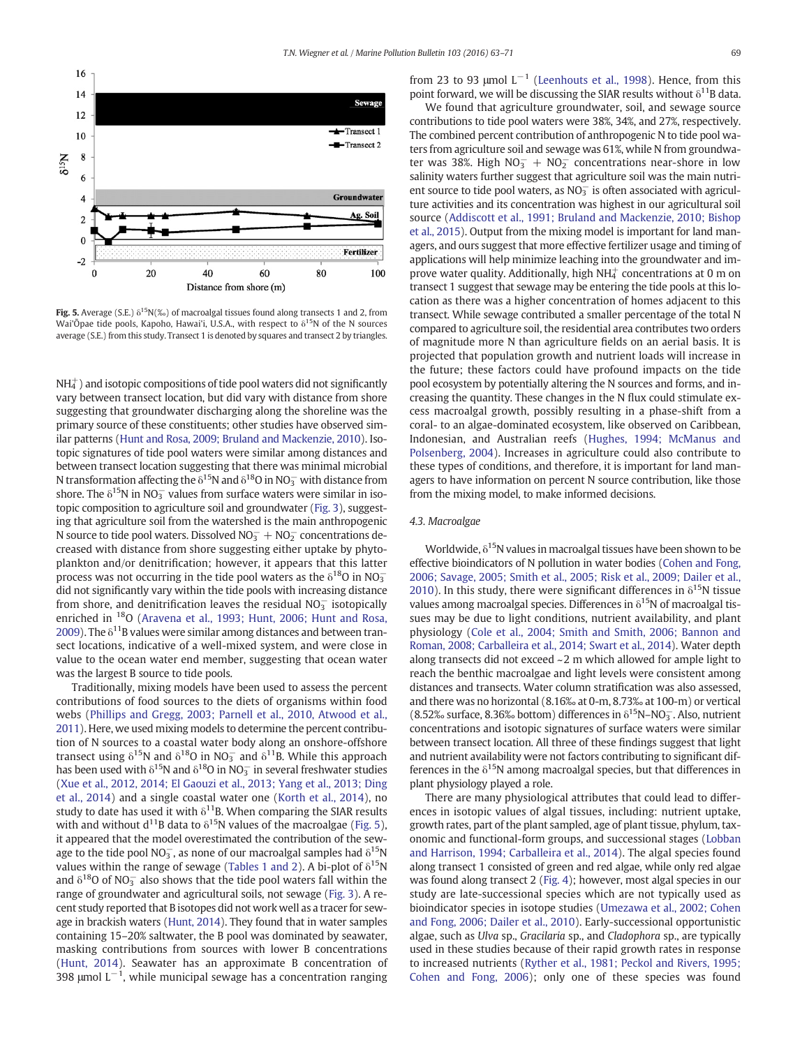<span id="page-6-0"></span>

Fig. 5. Average (S.E.)  $\delta^{15}N(\%)$  of macroalgal tissues found along transects 1 and 2, from Wai'Ōpae tide pools, Kapoho, Hawai'i, U.S.A., with respect to  $\delta^{15}$ N of the N sources average (S.E.) from this study. Transect 1 is denoted by squares and transect 2 by triangles.

 $\mathrm{NH}_4^+$  ) and isotopic compositions of tide pool waters did not significantly vary between transect location, but did vary with distance from shore suggesting that groundwater discharging along the shoreline was the primary source of these constituents; other studies have observed similar patterns ([Hunt and Rosa, 2009; Bruland and Mackenzie, 2010](#page-8-0)). Isotopic signatures of tide pool waters were similar among distances and between transect location suggesting that there was minimal microbial N transformation affecting the  $\delta^{15}$ N and  $\delta^{18}$ O in NO $_3^-$  with distance from shore. The  $\delta^{15}$ N in NO<sub>3</sub> values from surface waters were similar in isotopic composition to agriculture soil and groundwater [\(Fig. 3\)](#page-4-0), suggesting that agriculture soil from the watershed is the main anthropogenic N source to tide pool waters. Dissolved  $NO<sub>3</sub><sup>-</sup> + NO<sub>2</sub><sup>-</sup>$  concentrations decreased with distance from shore suggesting either uptake by phytoplankton and/or denitrification; however, it appears that this latter process was not occurring in the tide pool waters as the  $\delta^{18}$ O in NO $_3^$ did not significantly vary within the tide pools with increasing distance from shore, and denitrification leaves the residual  $NO<sub>3</sub><sup>-</sup>$  isotopically enriched in 18O [\(Aravena et al., 1993; Hunt, 2006; Hunt and Rosa,](#page-7-0) [2009](#page-7-0)). The  $\delta^{11}$ B values were similar among distances and between transect locations, indicative of a well-mixed system, and were close in value to the ocean water end member, suggesting that ocean water was the largest B source to tide pools.

Traditionally, mixing models have been used to assess the percent contributions of food sources to the diets of organisms within food webs [\(Phillips and Gregg, 2003; Parnell et al., 2010, Atwood et al.,](#page-8-0) [2011](#page-8-0)). Here, we used mixing models to determine the percent contribution of N sources to a coastal water body along an onshore-offshore transect using  $\delta^{15}$ N and  $\delta^{18}$ O in NO<sub>3</sub> and  $\delta^{11}$ B. While this approach has been used with  $\delta^{15}$ N and  $\delta^{18}$ O in NO $_3^-$  in several freshwater studies [\(Xue et al., 2012, 2014; El Gaouzi et al., 2013; Yang et al., 2013; Ding](#page-8-0) [et al., 2014](#page-8-0)) and a single coastal water one ([Korth et al., 2014\)](#page-8-0), no study to date has used it with  $\delta^{11}$ B. When comparing the SIAR results with and without  $d^{11}B$  data to  $\delta^{15}N$  values of the macroalgae (Fig. 5), it appeared that the model overestimated the contribution of the sewage to the tide pool NO $_3^-$ , as none of our macroalgal samples had  $\delta^{15}$ N values within the range of sewage [\(Tables 1 and 2\)](#page-1-0). A bi-plot of  $\delta^{15}N$ and  $\delta^{18}$ O of NO<sub>3</sub> also shows that the tide pool waters fall within the range of groundwater and agricultural soils, not sewage [\(Fig. 3](#page-4-0)). A recent study reported that B isotopes did not work well as a tracer for sewage in brackish waters [\(Hunt, 2014\)](#page-8-0). They found that in water samples containing 15–20% saltwater, the B pool was dominated by seawater, masking contributions from sources with lower B concentrations [\(Hunt, 2014\)](#page-8-0). Seawater has an approximate B concentration of 398 µmol L<sup>-1</sup>, while municipal sewage has a concentration ranging

from 23 to 93 µmol  $L^{-1}$  ([Leenhouts et al., 1998\)](#page-8-0). Hence, from this point forward, we will be discussing the SIAR results without  $\delta^{11}$ B data.

We found that agriculture groundwater, soil, and sewage source contributions to tide pool waters were 38%, 34%, and 27%, respectively. The combined percent contribution of anthropogenic N to tide pool waters from agriculture soil and sewage was 61%, while N from groundwater was 38%. High  $NO<sub>3</sub><sup>-</sup> + NO<sub>2</sub><sup>-</sup>$  concentrations near-shore in low salinity waters further suggest that agriculture soil was the main nutrient source to tide pool waters, as  $NO<sub>3</sub><sup>-</sup>$  is often associated with agriculture activities and its concentration was highest in our agricultural soil source [\(Addiscott et al., 1991; Bruland and Mackenzie, 2010; Bishop](#page-7-0) [et al., 2015\)](#page-7-0). Output from the mixing model is important for land managers, and ours suggest that more effective fertilizer usage and timing of applications will help minimize leaching into the groundwater and improve water quality. Additionally, high NH $_4^+$  concentrations at 0 m on transect 1 suggest that sewage may be entering the tide pools at this location as there was a higher concentration of homes adjacent to this transect. While sewage contributed a smaller percentage of the total N compared to agriculture soil, the residential area contributes two orders of magnitude more N than agriculture fields on an aerial basis. It is projected that population growth and nutrient loads will increase in the future; these factors could have profound impacts on the tide pool ecosystem by potentially altering the N sources and forms, and increasing the quantity. These changes in the N flux could stimulate excess macroalgal growth, possibly resulting in a phase-shift from a coral- to an algae-dominated ecosystem, like observed on Caribbean, Indonesian, and Australian reefs ([Hughes, 1994; McManus and](#page-8-0) [Polsenberg, 2004](#page-8-0)). Increases in agriculture could also contribute to these types of conditions, and therefore, it is important for land managers to have information on percent N source contribution, like those from the mixing model, to make informed decisions.

# 4.3. Macroalgae

Worldwide,  $\delta^{15}N$  values in macroalgal tissues have been shown to be effective bioindicators of N pollution in water bodies ([Cohen and Fong,](#page-7-0) [2006; Savage, 2005; Smith et al., 2005; Risk et al., 2009; Dailer et al.,](#page-7-0) [2010\)](#page-7-0). In this study, there were significant differences in  $\delta^{15}N$  tissue values among macroalgal species. Differences in  $\delta^{15}N$  of macroalgal tissues may be due to light conditions, nutrient availability, and plant physiology [\(Cole et al., 2004; Smith and Smith, 2006; Bannon and](#page-7-0) [Roman, 2008; Carballeira et al., 2014; Swart et al., 2014\)](#page-7-0). Water depth along transects did not exceed ~2 m which allowed for ample light to reach the benthic macroalgae and light levels were consistent among distances and transects. Water column stratification was also assessed, and there was no horizontal (8.16‰ at 0-m, 8.73‰ at 100-m) or vertical (8.52% surface, 8.36% bottom) differences in  $\delta^{15}$ N-NO<sub>3</sub>. Also, nutrient concentrations and isotopic signatures of surface waters were similar between transect location. All three of these findings suggest that light and nutrient availability were not factors contributing to significant differences in the  $\delta^{15}N$  among macroalgal species, but that differences in plant physiology played a role.

There are many physiological attributes that could lead to differences in isotopic values of algal tissues, including: nutrient uptake, growth rates, part of the plant sampled, age of plant tissue, phylum, taxonomic and functional-form groups, and successional stages [\(Lobban](#page-8-0) [and Harrison, 1994; Carballeira et al., 2014](#page-8-0)). The algal species found along transect 1 consisted of green and red algae, while only red algae was found along transect 2 [\(Fig. 4\)](#page-5-0); however, most algal species in our study are late-successional species which are not typically used as bioindicator species in isotope studies [\(Umezawa et al., 2002; Cohen](#page-8-0) [and Fong, 2006; Dailer et al., 2010\)](#page-8-0). Early-successional opportunistic algae, such as Ulva sp., Gracilaria sp., and Cladophora sp., are typically used in these studies because of their rapid growth rates in response to increased nutrients ([Ryther et al., 1981; Peckol and Rivers, 1995;](#page-8-0) [Cohen and Fong, 2006\)](#page-8-0); only one of these species was found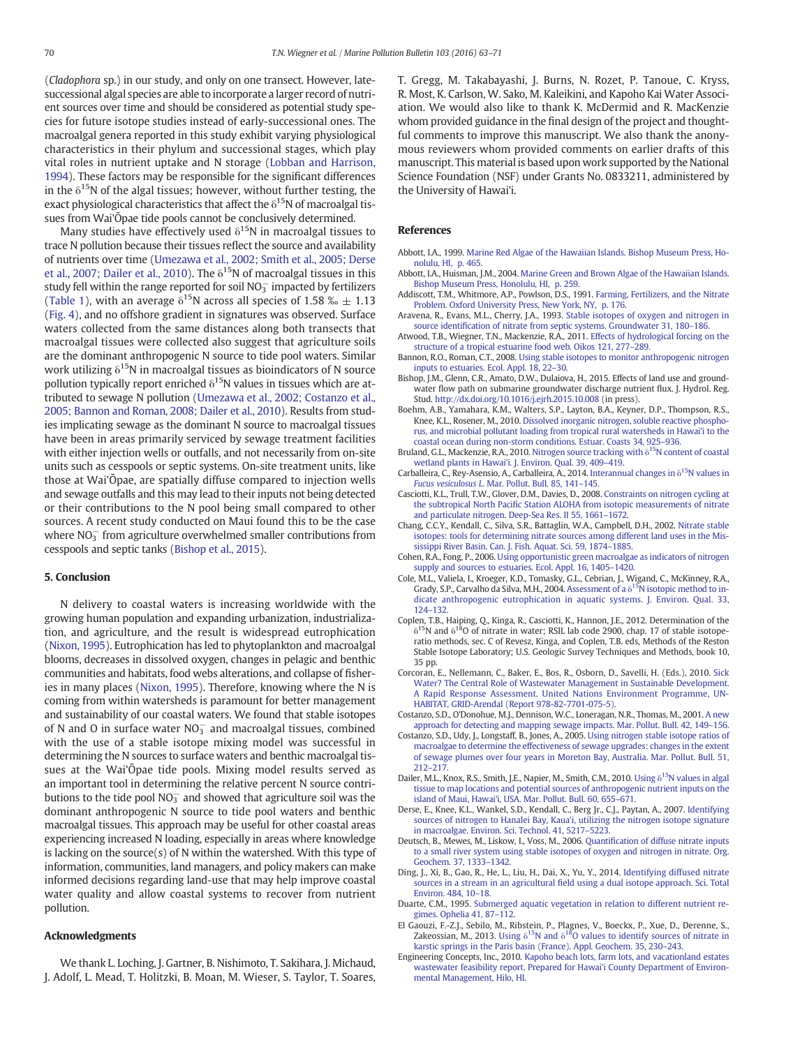<span id="page-7-0"></span>(Cladophora sp.) in our study, and only on one transect. However, latesuccessional algal species are able to incorporate a larger record of nutrient sources over time and should be considered as potential study species for future isotope studies instead of early-successional ones. The macroalgal genera reported in this study exhibit varying physiological characteristics in their phylum and successional stages, which play vital roles in nutrient uptake and N storage ([Lobban and Harrison,](#page-8-0) [1994\)](#page-8-0). These factors may be responsible for the significant differences in the  $\delta^{15}$ N of the algal tissues; however, without further testing, the exact physiological characteristics that affect the  $\delta^{15}N$  of macroalgal tissues from Wai'Ōpae tide pools cannot be conclusively determined.

Many studies have effectively used  $\delta^{15}N$  in macroalgal tissues to trace N pollution because their tissues reflect the source and availability of nutrients over time [\(Umezawa et al., 2002; Smith et al., 2005; Derse](#page-8-0) [et al., 2007; Dailer et al., 2010](#page-8-0)). The  $\delta^{15}$ N of macroalgal tissues in this study fell within the range reported for soil  $NO_3^-$  impacted by fertilizers [\(Table 1](#page-1-0)), with an average  $\delta^{15}$ N across all species of 1.58 ‰  $\pm$  1.13 [\(Fig. 4](#page-5-0)), and no offshore gradient in signatures was observed. Surface waters collected from the same distances along both transects that macroalgal tissues were collected also suggest that agriculture soils are the dominant anthropogenic N source to tide pool waters. Similar work utilizing  $\delta^{15}N$  in macroalgal tissues as bioindicators of N source pollution typically report enriched  $\delta^{15}$ N values in tissues which are attributed to sewage N pollution [\(Umezawa et al., 2002; Costanzo et al.,](#page-8-0) [2005; Bannon and Roman, 2008; Dailer et al., 2010\)](#page-8-0). Results from studies implicating sewage as the dominant N source to macroalgal tissues have been in areas primarily serviced by sewage treatment facilities with either injection wells or outfalls, and not necessarily from on-site units such as cesspools or septic systems. On-site treatment units, like those at Wai'Ōpae, are spatially diffuse compared to injection wells and sewage outfalls and this may lead to their inputs not being detected or their contributions to the N pool being small compared to other sources. A recent study conducted on Maui found this to be the case where  $NO<sub>3</sub><sup>-</sup>$  from agriculture overwhelmed smaller contributions from cesspools and septic tanks (Bishop et al., 2015).

# 5. Conclusion

N delivery to coastal waters is increasing worldwide with the growing human population and expanding urbanization, industrialization, and agriculture, and the result is widespread eutrophication [\(Nixon, 1995\)](#page-8-0). Eutrophication has led to phytoplankton and macroalgal blooms, decreases in dissolved oxygen, changes in pelagic and benthic communities and habitats, food webs alterations, and collapse of fisheries in many places [\(Nixon, 1995](#page-8-0)). Therefore, knowing where the N is coming from within watersheds is paramount for better management and sustainability of our coastal waters. We found that stable isotopes of N and O in surface water  $NO<sub>3</sub><sup>-</sup>$  and macroalgal tissues, combined with the use of a stable isotope mixing model was successful in determining the N sources to surface waters and benthic macroalgal tissues at the Wai'Ōpae tide pools. Mixing model results served as an important tool in determining the relative percent N source contributions to the tide pool  $NO<sub>3</sub><sup>-</sup>$  and showed that agriculture soil was the dominant anthropogenic N source to tide pool waters and benthic macroalgal tissues. This approach may be useful for other coastal areas experiencing increased N loading, especially in areas where knowledge is lacking on the source(s) of N within the watershed. With this type of information, communities, land managers, and policy makers can make informed decisions regarding land-use that may help improve coastal water quality and allow coastal systems to recover from nutrient pollution.

# Acknowledgments

We thank L. Loching, J. Gartner, B. Nishimoto, T. Sakihara, J. Michaud, J. Adolf, L. Mead, T. Holitzki, B. Moan, M. Wieser, S. Taylor, T. Soares, T. Gregg, M. Takabayashi, J. Burns, N. Rozet, P. Tanoue, C. Kryss, R. Most, K. Carlson, W. Sako, M. Kaleikini, and Kapoho Kai Water Association. We would also like to thank K. McDermid and R. MacKenzie whom provided guidance in the final design of the project and thoughtful comments to improve this manuscript. We also thank the anonymous reviewers whom provided comments on earlier drafts of this manuscript. This material is based upon work supported by the National Science Foundation (NSF) under Grants No. 0833211, administered by the University of Hawai'i.

# References

- Abbott, I.A., 1999. [Marine Red Algae of the Hawaiian Islands. Bishop Museum Press, Ho](http://refhub.elsevier.com/S0025-326X(15)30251-4/rf0005)[nolulu, HI, p. 465](http://refhub.elsevier.com/S0025-326X(15)30251-4/rf0005).
- Abbott, I.A., Huisman, J.M., 2004. [Marine Green and Brown Algae of the Hawaiian Islands.](http://refhub.elsevier.com/S0025-326X(15)30251-4/rf0010) [Bishop Museum Press, Honolulu, HI, p. 259](http://refhub.elsevier.com/S0025-326X(15)30251-4/rf0010).
- Addiscott, T.M., Whitmore, A.P., Powlson, D.S., 1991. [Farming, Fertilizers, and the Nitrate](http://refhub.elsevier.com/S0025-326X(15)30251-4/rf0015) [Problem. Oxford University Press, New York, NY, p. 176.](http://refhub.elsevier.com/S0025-326X(15)30251-4/rf0015)
- Aravena, R., Evans, M.L., Cherry, J.A., 1993. [Stable isotopes of oxygen and nitrogen in](http://refhub.elsevier.com/S0025-326X(15)30251-4/rf0020) source identifi[cation of nitrate from septic systems. Groundwater 31, 180](http://refhub.elsevier.com/S0025-326X(15)30251-4/rf0020)–186.
- Atwood, T.B., Wiegner, T.N., Mackenzie, R.A., 2011. [Effects of hydrological forcing on the](http://refhub.elsevier.com/S0025-326X(15)30251-4/rf0025) [structure of a tropical estuarine food web. Oikos 121, 277](http://refhub.elsevier.com/S0025-326X(15)30251-4/rf0025)–289.
- Bannon, R.O., Roman, C.T., 2008. [Using stable isotopes to monitor anthropogenic nitrogen](http://refhub.elsevier.com/S0025-326X(15)30251-4/rf0030) [inputs to estuaries. Ecol. Appl. 18, 22](http://refhub.elsevier.com/S0025-326X(15)30251-4/rf0030)–30.
- Bishop, J.M., Glenn, C.R., Amato, D.W., Dulaiova, H., 2015. Effects of land use and groundwater flow path on submarine groundwater discharge nutrient flux. J. Hydrol. Reg. Stud. http://dx.doi.org/[10.1016/j.ejrh.2015.10.008](http://dx.doi.org/10.1016/j.ejrh.2015.10.008) (in press).
- Boehm, A.B., Yamahara, K.M., Walters, S.P., Layton, B.A., Keyner, D.P., Thompson, R.S., Knee, K.L., Rosener, M., 2010. [Dissolved inorganic nitrogen, soluble reactive phospho](http://refhub.elsevier.com/S0025-326X(15)30251-4/rf0040)[rus, and microbial pollutant loading from tropical rural watersheds in Hawai'i to the](http://refhub.elsevier.com/S0025-326X(15)30251-4/rf0040) [coastal ocean during non-storm conditions. Estuar. Coasts 34, 925](http://refhub.elsevier.com/S0025-326X(15)30251-4/rf0040)–936.
- Bruland, G.L., Mackenzie, R.A., 2010. [Nitrogen](http://refhub.elsevier.com/S0025-326X(15)30251-4/rf0045) [source](http://refhub.elsevier.com/S0025-326X(15)30251-4/rf0045) [tracking](http://refhub.elsevier.com/S0025-326X(15)30251-4/rf0045) [with](http://refhub.elsevier.com/S0025-326X(15)30251-4/rf0045)  $\delta^{15}N$  content of coastal [wetland plants in Hawai'i. J. Environ. Qual. 39, 409](http://refhub.elsevier.com/S0025-326X(15)30251-4/rf0045)–419.
- Carballeira, C., Rey-Asensio, A., Carballeira, A., 2014. [Interannual](http://refhub.elsevier.com/S0025-326X(15)30251-4/rf0050) [changes](http://refhub.elsevier.com/S0025-326X(15)30251-4/rf0050) [in](http://refhub.elsevier.com/S0025-326X(15)30251-4/rf0050)  $\delta^{15}$ [N values in](http://refhub.elsevier.com/S0025-326X(15)30251-4/rf0050) Fucus vesiculosus L[. Mar. Pollut. Bull. 85, 141](http://refhub.elsevier.com/S0025-326X(15)30251-4/rf0050)–145.
- Casciotti, K.L., Trull, T.W., Glover, D.M., Davies, D., 2008. [Constraints on nitrogen cycling at](http://refhub.elsevier.com/S0025-326X(15)30251-4/rf0055) the subtropical North Pacifi[c Station ALOHA from isotopic measurements of nitrate](http://refhub.elsevier.com/S0025-326X(15)30251-4/rf0055) [and particulate nitrogen. Deep-Sea Res. II 55, 1661](http://refhub.elsevier.com/S0025-326X(15)30251-4/rf0055)–1672.
- Chang, C.C.Y., Kendall, C., Silva, S.R., Battaglin, W.A., Campbell, D.H., 2002. [Nitrate stable](http://refhub.elsevier.com/S0025-326X(15)30251-4/rf0060) [isotopes: tools for determining nitrate sources among different land uses in the Mis](http://refhub.elsevier.com/S0025-326X(15)30251-4/rf0060)[sissippi River Basin. Can. J. Fish. Aquat. Sci. 59, 1874](http://refhub.elsevier.com/S0025-326X(15)30251-4/rf0060)–1885.
- Cohen, R.A., Fong, P., 2006. [Using opportunistic green macroalgae as indicators of nitrogen](http://refhub.elsevier.com/S0025-326X(15)30251-4/rf0065) [supply and sources to estuaries. Ecol. Appl. 16, 1405](http://refhub.elsevier.com/S0025-326X(15)30251-4/rf0065)–1420.
- Cole, M.L., Valiela, I., Kroeger, K.D., Tomasky, G.L., Cebrian, J., Wigand, C., McKinney, R.A., Grady, S.P., Carvalho da Silva, M.H., 2004. [Assessment](http://refhub.elsevier.com/S0025-326X(15)30251-4/rf0070) [of](http://refhub.elsevier.com/S0025-326X(15)30251-4/rf0070) [a](http://refhub.elsevier.com/S0025-326X(15)30251-4/rf0070)  $\delta^{15}N$  isotopic method to in[dicate anthropogenic eutrophication in aquatic systems. J. Environ. Qual. 33,](http://refhub.elsevier.com/S0025-326X(15)30251-4/rf0070) 124–[132.](http://refhub.elsevier.com/S0025-326X(15)30251-4/rf0070)
- Coplen, T.B., Haiping, Q., Kinga, R., Casciotti, K., Hannon, J.E., 2012. Determination of the  $\delta^{15}$ N and  $\delta^{18}$ O of nitrate in water; RSIL lab code 2900, chap. 17 of stable isotoperatio methods, sec. C of Revesz, Kinga, and Coplen, T.B. eds, Methods of the Reston Stable Isotope Laboratory; U.S. Geologic Survey Techniques and Methods, book 10, 35 pp.
- Corcoran, E., Nellemann, C., Baker, E., Bos, R., Osborn, D., Savelli, H. (Eds.), 2010. [Sick](http://refhub.elsevier.com/S0025-326X(15)30251-4/rf0075) [Water? The Central Role of Wastewater Management in Sustainable Development.](http://refhub.elsevier.com/S0025-326X(15)30251-4/rf0075) [A Rapid Response Assessment. United Nations Environment Programme, UN-](http://refhub.elsevier.com/S0025-326X(15)30251-4/rf0075)[HABITAT, GRID-Arendal \(Report 978-82-7701-075-5\).](http://refhub.elsevier.com/S0025-326X(15)30251-4/rf0075)
- Costanzo, S.D., O'Donohue, M.J., Dennison, W.C., Loneragan, N.R., Thomas, M., 2001. [A new](http://refhub.elsevier.com/S0025-326X(15)30251-4/rf0080) [approach for detecting and mapping sewage impacts. Mar. Pollut. Bull. 42, 149](http://refhub.elsevier.com/S0025-326X(15)30251-4/rf0080)–156.
- Costanzo, S.D., Udy, J., Longstaff, B., Jones, A., 2005. [Using nitrogen stable isotope ratios of](http://refhub.elsevier.com/S0025-326X(15)30251-4/rf0085) [macroalgae to determine the effectiveness of sewage upgrades: changes in the extent](http://refhub.elsevier.com/S0025-326X(15)30251-4/rf0085) [of sewage plumes over four years in Moreton Bay, Australia. Mar. Pollut. Bull. 51,](http://refhub.elsevier.com/S0025-326X(15)30251-4/rf0085) 212–[217.](http://refhub.elsevier.com/S0025-326X(15)30251-4/rf0085)
- Dailer, M.L., Knox, R.S., Smith, J.E., Napier, M., Smith, C.M., 2010. [Using](http://refhub.elsevier.com/S0025-326X(15)30251-4/rf0090)  $\delta^{15}$ [N values in algal](http://refhub.elsevier.com/S0025-326X(15)30251-4/rf0090) [tissue to map locations and potential sources of anthropogenic nutrient inputs on the](http://refhub.elsevier.com/S0025-326X(15)30251-4/rf0090) [island of Maui, Hawai'i, USA. Mar. Pollut. Bull. 60, 655](http://refhub.elsevier.com/S0025-326X(15)30251-4/rf0090)–671.
- Derse, E., Knee, K.L., Wankel, S.D., Kendall, C., Berg Jr., C.J., Paytan, A., 2007. [Identifying](http://refhub.elsevier.com/S0025-326X(15)30251-4/rf0095) [sources of nitrogen to Hanalei Bay, Kaua'i, utilizing the nitrogen isotope signature](http://refhub.elsevier.com/S0025-326X(15)30251-4/rf0095) [in macroalgae. Environ. Sci. Technol. 41, 5217](http://refhub.elsevier.com/S0025-326X(15)30251-4/rf0095)–5223.
- Deutsch, B., Mewes, M., Liskow, I., Voss, M., 2006. Quantifi[cation of diffuse nitrate inputs](http://refhub.elsevier.com/S0025-326X(15)30251-4/rf0100) [to a small river system using stable isotopes of oxygen and nitrogen in nitrate. Org.](http://refhub.elsevier.com/S0025-326X(15)30251-4/rf0100) [Geochem. 37, 1333](http://refhub.elsevier.com/S0025-326X(15)30251-4/rf0100)–1342.
- Ding, J., Xi, B., Gao, R., He, L., Liu, H., Dai, X., Yu, Y., 2014. [Identifying diffused nitrate](http://refhub.elsevier.com/S0025-326X(15)30251-4/rf0105) sources in a stream in an agricultural fi[eld using a dual isotope approach. Sci. Total](http://refhub.elsevier.com/S0025-326X(15)30251-4/rf0105) [Environ. 484, 10](http://refhub.elsevier.com/S0025-326X(15)30251-4/rf0105)–18.
- Duarte, C.M., 1995. [Submerged aquatic vegetation in relation to different nutrient re](http://refhub.elsevier.com/S0025-326X(15)30251-4/rf0110)[gimes. Ophelia 41, 87](http://refhub.elsevier.com/S0025-326X(15)30251-4/rf0110)–112.
- El Gaouzi, F.-Z.J., Sebilo, M., Ribstein, P., Plagnes, V., Boeckx, P., Xue, D., Derenne, S., Zakeossian, M., 2013. [Using](http://refhub.elsevier.com/S0025-326X(15)30251-4/rf0115)  $\delta^{15}N$  $\delta^{15}N$  [and](http://refhub.elsevier.com/S0025-326X(15)30251-4/rf0115)  $\delta^{18}O$  values to identify sources of nitrate in [karstic springs in the Paris basin \(France\). Appl. Geochem. 35, 230](http://refhub.elsevier.com/S0025-326X(15)30251-4/rf0115)–243.
- Engineering Concepts, Inc., 2010. [Kapoho beach lots, farm lots, and vacationland estates](http://refhub.elsevier.com/S0025-326X(15)30251-4/rf0120) [wastewater feasibility report. Prepared for Hawai'i County Department of Environ](http://refhub.elsevier.com/S0025-326X(15)30251-4/rf0120)[mental Management, Hilo, HI](http://refhub.elsevier.com/S0025-326X(15)30251-4/rf0120).